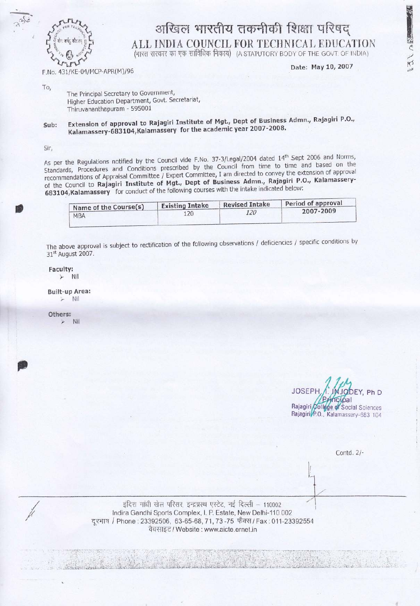

## अखिल भारतीय तकनीकी शिक्षा परिषद् ALL INDIA COUNCIL FOR TECHNICAL EDUCATION (भारत सरकार का एक सांविधिक निकाय) (A STATUTORY BODY OF THE GOVT. OF INDIA)

F.No. 431/KE-04/MCP-APR(M)/96

Date: May 10, 2007

図へ 入だ

To.

The Principal Secretary to Government, Higher Education Department, Govt. Secretariat, Thiruvananthapuram - 595001

## Extension of approval to Rajagiri Institute of Mgt., Dept of Business Admn., Rajagiri P.O., Sub: Kalamassery-683104, Kalamassery for the academic year 2007-2008.

Sir,

As per the Regulations notified by the Council vide F.No. 37-3/Legal/2004 dated 14<sup>th</sup> Sept 2006 and Norms, Standards, Procedures and Conditions prescribed by the Council from time to time and based on the recommendations of Appraisal Committee / Expert Committee, I am directed to convey the extension of approval of the Council to Rajagiri Institute of Mgt., Dept of Business Admn., Rajagiri P.O., Kalamassery-683104, Kalamassery for conduct of the following courses with the intake indicated below:

| Name of the Course(s) | <b>Existing Intake</b> | <b>Revised Intake</b> | Period of approval |
|-----------------------|------------------------|-----------------------|--------------------|
| <b>MBA</b>            | 120                    | 120                   | 2007-2009          |

The above approval is subject to rectification of the following observations / deficiencies / specific conditions by 31<sup>st</sup> August 2007.

Faculty:  $\triangleright$  Nil

**Built-up Area:** Nil

Others: Nil

JOSEP DEY, Ph D ncipal Rajagiri College of Social Sciences Rajagiri P.O., Kalamassery-683 104

Contd. 2/-

इंदिश गांधी खेल परिसर, इन्द्रप्रस्थ एस्टेट, नई दिल्ली - 110002 Indira Gandhi Sports Complex, I. P. Estate, New Delhi-110 002 दूरभाष / Phone : 23392506, 63-65-68, 71, 73-75 फैक्स / Fax : 011-23392554 वैबसाइट / Website : www.aicte.ernet.in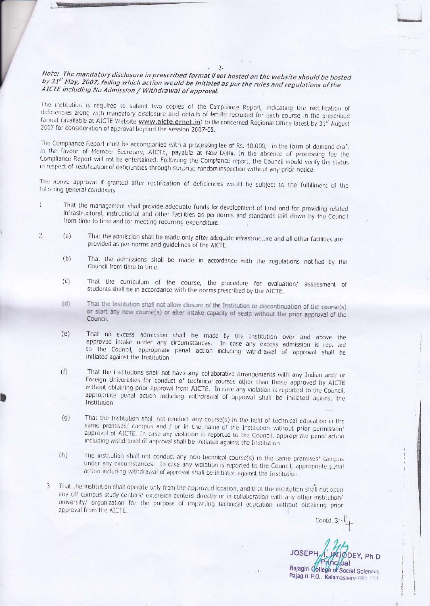## Note: The mandatory disclosure in prescribed format if not hosted on the website should be hosted by 31<sup>st</sup> May, 2007, failing which action would be initiated as per the rules and regulations of the AICTE including No Admission / Withdrawal of approval.

 $2 -$ 

The institution is required to submit two copies of the Compliance Report, indicating the rectification of deficiencies along with mandatory disclosure and details of facilty recruited for each course in the prescribed format (available at AICTE Website www.aicte.ernet.in) to the concerned Regional Office latest by 31° August 2007 for consideration of approval beyond the session 2007-08.

The Compliance Report must be accompanied with a processing fee of Rs. 40,000/- in the form of demand draft in the favour of Member Secretary, AICTE, payable at New Dolhi. In the absence of processing fee the Compliance Report will not be entertained. Following the Complance report, the Council would verify the status in respect of rectification of deficiencies through surprise random inspection without any prior notice.

The above approval if granted after rectification of deficiences would be subject to the fulfillment of the following general conditions:

- That the management shall provide adequate funds for development of land and for providing related  $\mathbf{1}$ infrastructural, instructional and other facilities as per norms and standards laid down by the Council from time to time and for meeting recurring expenditure.
- $\overline{2}$ .  $(a)$ That the admission shall be made only after adequate infrastructure and all other facilities are provided as per norms and guidelines of the AICTE.
	- That the admissions shall be made in accordance with the regulations notified by the  $(b)$ Council from time to time.
	- That the curriculum of the course, the procedure for evaluation/ assessment of  $(c)$ students shall be in accordance with the norms prescribed by the AICTE.
	- $(d)$ That the Institution shall not allow closure of the Institution or discontinuation of the course(s) or start any new course(s) or alter intake capacity of seats without the prior approval of the Council.
	- That no excess admission shall be made by the Institution over and above the  $(e)$ approved intake under any circumstances. In case any excess admission is rep. led to the Council, appropriate penal action including withdrawal of approval shall be initiated against the Institution
	- That the institutions shall not have any collaborative arrangements with any Indian and/ or  $(1)$ Foreign Universities for conduct of technical courses other than those approved by AICTE without obtaining prior approval from AICTE. In case any violation is reported to the Council, appropriate penal action including withdrawal of approval shall be initiated against the Institution
	- That the Institution shall not conduct any course(s) in the field of technical education in the  $(g)$ same premises/ campus and / or in the name of the Institution without prior permission/ approval of AICTE. In case any violation is reported to the Council, appropriate penal action including withdrawal of approval shall be initiated against the Institution
	- The institution shall not conduct any non-technical course(s) in the same premises/ campus  $(h)$ under any circumstances. In case any violation is reported to the Council, appropriate penal action including withdrawal of approval shall be initiated against the Institution
	- That the institution shall operate only from the approved location, and that the institution shall not open  $\mathcal{L}$ any off campus study centers! extension centers directly or in collaboration with any other institution/ university/ organization for the purpose of imparting technical education without obtaining prior approval from the AICTE.

Contd. 3/-

JOSEF Rajagiri College of Social Sciences Rajagiri P.O., Kalamassery 691 104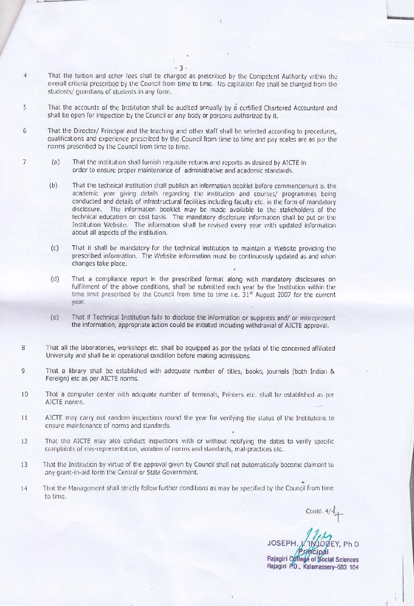That the tuition and other fees shall be charged as prescribed by the Competent Authority within the overall criteria prescribed by the Council from time to time. No capitation fee shall be charged from the students/ quardians of students in any form.

5 That the accounts of the Institution shall be audited annually by a certified Chartered Accountant and shall be open for inspection by the Council or any body or persons authorized by it.

 $-3-$ 

 $\overline{4}$ 

 $\overline{7}$ 

- $6 \overline{6}$ That the Director/ Principal and the teaching and other staff shall be selected according to procedures, qualifications and experience prescribed by the Council from time to time and pay scales are as per the norms prescribed by the Council from time to time.
	- $(a)$ That the institution shall furnish requisite returns and reports as desired by AICTE in order to ensure proper maintenance of administrative and academic standards.
	- $(b)$ That the technical institution shall publish an information booklet before commencement of the academic year giving details regarding the institution and courses/ programmes being conducted and details of infrastructural facilities including faculty etc. in the form of mandatory disclosure. The information booklet may be made available to the stakeholders of the technical education on cost basis. The mandatory disclosure information shall be put on the Institution Website. The information shall be revised every year with updated information about all aspects of the institution.
	- $(c)$ That it shall be mandatory for the technical institution to maintain a Website providing the prescribed information. The Website information must be continuously updated as and when changes take place.
	- $(d)$ That a compliance report in the prescribed format along with mandatory disclosures on fulfillment of the above conditions, shall be submitted each year by the Institution within the time limit prescribed by the Council from time to time i.e. 31<sup>st</sup> August 2007 for the current year.
	- $(e)$ That if Technical Institution fails to disclose the information or suppress and/ or misrepresent the information, appropriate action could be initiated including withdrawal of AICTE approval.
- 8 That all the laboratories, workshops etc. shall be equipped as per the syllabi of the concerned affiliated University and shall be in operational condition before making admissions.
- 9 That a library shall be established with adequate number of titles, books, journals (both Indian & Foreign) etc as per AICTE norms.
- 10 That a computer center with adequate number of terminals, Printers etc. shall be established as per AICTE norms.
- AICTE may carry out random inspections round the year for verifying the status of the Institutions to 11 ensure maintenance of norms and standards.
- That the AICTE may also conduct inspections with or without notifying the dates to verify specific 12 complaints of mis-representation, violation of norms and standards, mal-practices etc.
- That the Institution by virtue of the approval given by Council shall not automatically become claimant to 13 any grant-in-aid form the Central or State Government.
- That the Management shall strictly follow further conditions as may be specified by the Council from time  $1-4$ to time.

Contd.  $4/\frac{1}{2}$ 

**JOSEPH** Rajagiri College of Social Sciences Rajagiri P.O., Kalamassery-683 104